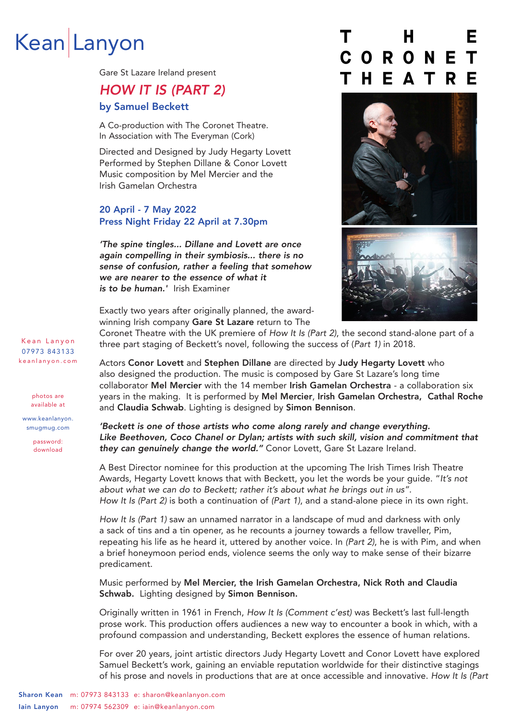# Kean Lanyon

Gare St Lazare Ireland present

# HOW IT IS (PART 2)

# by Samuel Beckett

A Co-production with The Coronet Theatre. In Association with The Everyman (Cork)

Directed and Designed by Judy Hegarty Lovett Performed by Stephen Dillane & Conor Lovett Music composition by Mel Mercier and the Irish Gamelan Orchestra

# 20 April - 7 May 2022 Press Night Friday 22 April at 7.30pm

'The spine tingles... Dillane and Lovett are once again compelling in their symbiosis... there is no sense of confusion, rather a feeling that somehow we are nearer to the essence of what it is to be human.' Irish Examiner

# н F CORONE  $\mathbf{T}$ A T Е





Exactly two years after originally planned, the awardwinning Irish company Gare St Lazare return to The

Coronet Theatre with the UK premiere of How It Is (Part 2), the second stand-alone part of a three part staging of Beckett's novel, following the success of (Part 1) in 2018.

Actors Conor Lovett and Stephen Dillane are directed by Judy Hegarty Lovett who also designed the production. The music is composed by Gare St Lazare's long time collaborator Mel Mercier with the 14 member Irish Gamelan Orchestra - a collaboration six years in the making. It is performed by Mel Mercier, Irish Gamelan Orchestra, Cathal Roche and Claudia Schwab. Lighting is designed by Simon Bennison.

'Beckett is one of those artists who come along rarely and change everything. Like Beethoven, Coco Chanel or Dylan; artists with such skill, vision and commitment that they can genuinely change the world." Conor Lovett, Gare St Lazare Ireland.

A Best Director nominee for this production at the upcoming The Irish Times Irish Theatre Awards, Hegarty Lovett knows that with Beckett, you let the words be your quide. "It's not about what we can do to Beckett; rather it's about what he brings out in us". How It Is (Part 2) is both a continuation of (Part 1), and a stand-alone piece in its own right.

How It Is (Part 1) saw an unnamed narrator in a landscape of mud and darkness with only a sack of tins and a tin opener, as he recounts a journey towards a fellow traveller, Pim, repeating his life as he heard it, uttered by another voice. In (Part 2), he is with Pim, and when a brief honeymoon period ends, violence seems the only way to make sense of their bizarre predicament.

Music performed by Mel Mercier, the Irish Gamelan Orchestra, Nick Roth and Claudia Schwab. Lighting designed by Simon Bennison.

Originally written in 1961 in French, How It Is (Comment c'est) was Beckett's last full-length prose work. This production offers audiences a new way to encounter a book in which, with a profound compassion and understanding, Beckett explores the essence of human relations.

For over 20 years, joint artistic directors Judy Hegarty Lovett and Conor Lovett have explored Samuel Beckett's work, gaining an enviable reputation worldwide for their distinctive stagings of his prose and novels in productions that are at once accessible and innovative. How It Is (Part

Kean Lanyon 07973 843133 k e a n l a n y o n . c o m

> photos are available at

www.keanlanyon. smugmug.com

password: download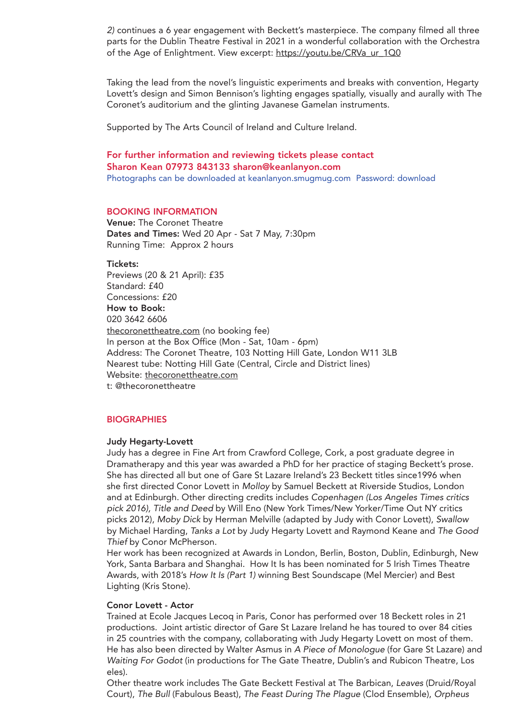2) continues a 6 year engagement with Beckett's masterpiece. The company filmed all three parts for the Dublin Theatre Festival in 2021 in a wonderful collaboration with the Orchestra of the Age of Enlightment. View excerpt: https://youtu.be/CRVa\_ur\_1Q0

Taking the lead from the novel's linguistic experiments and breaks with convention, Hegarty Lovett's design and Simon Bennison's lighting engages spatially, visually and aurally with The Coronet's auditorium and the glinting Javanese Gamelan instruments.

Supported by The Arts Council of Ireland and Culture Ireland.

For further information and reviewing tickets please contact Sharon Kean 07973 843133 sharon@keanlanyon.com Photographs can be downloaded at keanlanyon.smugmug.com Password: download

#### BOOKING INFORMATION

Venue: The Coronet Theatre Dates and Times: Wed 20 Apr - Sat 7 May, 7:30pm Running Time: Approx 2 hours

Tickets: Previews (20 & 21 April): £35 Standard: £40 Concessions: £20 How to Book: 020 3642 6606 thecoronettheatre.com (no booking fee) In person at the Box Office (Mon - Sat, 10am - 6pm) Address: The Coronet Theatre, 103 Notting Hill Gate, London W11 3LB Nearest tube: Notting Hill Gate (Central, Circle and District lines) Website: thecoronettheatre.com t: @thecoronettheatre

# **BIOGRAPHIES**

#### Judy Hegarty-Lovett

Judy has a degree in Fine Art from Crawford College, Cork, a post graduate degree in Dramatherapy and this year was awarded a PhD for her practice of staging Beckett's prose. She has directed all but one of Gare St Lazare Ireland's 23 Beckett titles since1996 when she first directed Conor Lovett in Molloy by Samuel Beckett at Riverside Studios, London and at Edinburgh. Other directing credits includes Copenhagen (Los Angeles Times critics pick 2016), Title and Deed by Will Eno (New York Times/New Yorker/Time Out NY critics picks 2012), Moby Dick by Herman Melville (adapted by Judy with Conor Lovett), Swallow by Michael Harding, Tanks a Lot by Judy Hegarty Lovett and Raymond Keane and The Good Thief by Conor McPherson.

Her work has been recognized at Awards in London, Berlin, Boston, Dublin, Edinburgh, New York, Santa Barbara and Shanghai. How It Is has been nominated for 5 Irish Times Theatre Awards, with 2018's How It Is (Part 1) winning Best Soundscape (Mel Mercier) and Best Lighting (Kris Stone).

## Conor Lovett - Actor

Trained at Ecole Jacques Lecoq in Paris, Conor has performed over 18 Beckett roles in 21 productions. Joint artistic director of Gare St Lazare Ireland he has toured to over 84 cities in 25 countries with the company, collaborating with Judy Hegarty Lovett on most of them. He has also been directed by Walter Asmus in A Piece of Monologue (for Gare St Lazare) and Waiting For Godot (in productions for The Gate Theatre, Dublin's and Rubicon Theatre, Los eles).

Other theatre work includes The Gate Beckett Festival at The Barbican, Leaves (Druid/Royal Court), The Bull (Fabulous Beast), The Feast During The Plague (Clod Ensemble), Orpheus